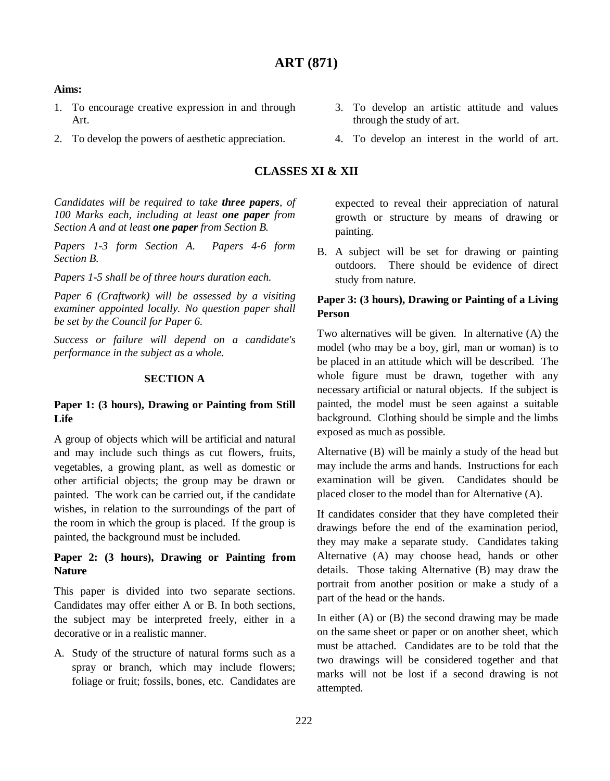#### **Aims:**

- 1. To encourage creative expression in and through Art.
- 2. To develop the powers of aesthetic appreciation.

### **CLASSES XI & XII**

*Candidates will be required to take three papers, of 100 Marks each, including at least one paper from Section A and at least one paper from Section B.*

*Papers 1-3 form Section A. Papers 4-6 form Section B.*

*Papers 1-5 shall be of three hours duration each.*

*Paper 6 (Craftwork) will be assessed by a visiting examiner appointed locally. No question paper shall be set by the Council for Paper 6.*

*Success or failure will depend on a candidate's performance in the subject as a whole.* 

#### **SECTION A**

## **Paper 1: (3 hours), Drawing or Painting from Still Life**

A group of objects which will be artificial and natural and may include such things as cut flowers, fruits, vegetables, a growing plant, as well as domestic or other artificial objects; the group may be drawn or painted. The work can be carried out, if the candidate wishes, in relation to the surroundings of the part of the room in which the group is placed. If the group is painted, the background must be included.

# **Paper 2: (3 hours), Drawing or Painting from Nature**

This paper is divided into two separate sections. Candidates may offer either A or B. In both sections, the subject may be interpreted freely, either in a decorative or in a realistic manner.

A. Study of the structure of natural forms such as a spray or branch, which may include flowers; foliage or fruit; fossils, bones, etc. Candidates are expected to reveal their appreciation of natural growth or structure by means of drawing or painting.

B. A subject will be set for drawing or painting outdoors. There should be evidence of direct study from nature.

## **Paper 3: (3 hours), Drawing or Painting of a Living Person**

Two alternatives will be given. In alternative (A) the model (who may be a boy, girl, man or woman) is to be placed in an attitude which will be described. The whole figure must be drawn, together with any necessary artificial or natural objects. If the subject is painted, the model must be seen against a suitable background. Clothing should be simple and the limbs exposed as much as possible.

Alternative (B) will be mainly a study of the head but may include the arms and hands. Instructions for each examination will be given. Candidates should be placed closer to the model than for Alternative (A).

If candidates consider that they have completed their drawings before the end of the examination period, they may make a separate study. Candidates taking Alternative (A) may choose head, hands or other details. Those taking Alternative (B) may draw the portrait from another position or make a study of a part of the head or the hands.

In either  $(A)$  or  $(B)$  the second drawing may be made on the same sheet or paper or on another sheet, which must be attached. Candidates are to be told that the two drawings will be considered together and that marks will not be lost if a second drawing is not attempted.

- 3. To develop an artistic attitude and values through the study of art.
- 4. To develop an interest in the world of art.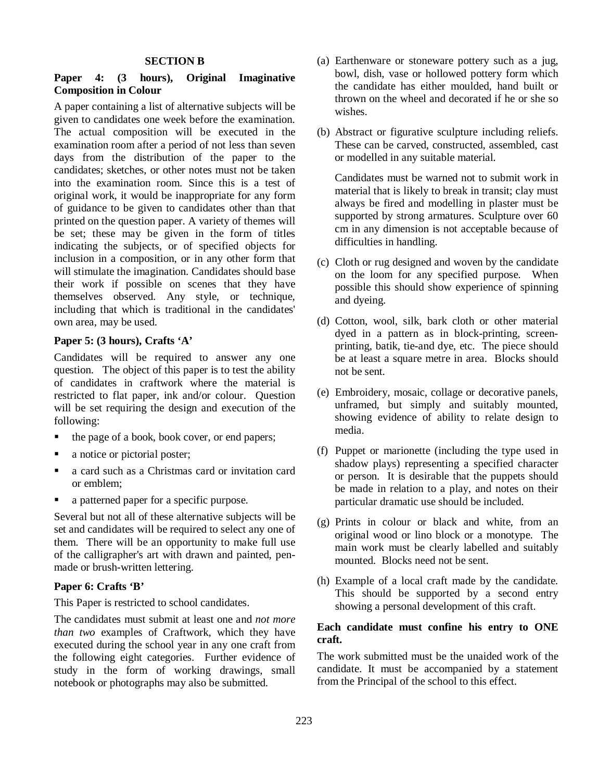#### **SECTION B**

## **Paper 4: (3 hours), Original Imaginative Composition in Colour**

A paper containing a list of alternative subjects will be given to candidates one week before the examination. The actual composition will be executed in the examination room after a period of not less than seven days from the distribution of the paper to the candidates; sketches, or other notes must not be taken into the examination room. Since this is a test of original work, it would be inappropriate for any form of guidance to be given to candidates other than that printed on the question paper. A variety of themes will be set; these may be given in the form of titles indicating the subjects, or of specified objects for inclusion in a composition, or in any other form that will stimulate the imagination. Candidates should base their work if possible on scenes that they have themselves observed. Any style, or technique, including that which is traditional in the candidates' own area, may be used.

#### **Paper 5: (3 hours), Crafts 'A'**

Candidates will be required to answer any one question. The object of this paper is to test the ability of candidates in craftwork where the material is restricted to flat paper, ink and/or colour. Question will be set requiring the design and execution of the following:

- the page of a book, book cover, or end papers;
- a notice or pictorial poster;
- a card such as a Christmas card or invitation card or emblem;
- a patterned paper for a specific purpose.

Several but not all of these alternative subjects will be set and candidates will be required to select any one of them. There will be an opportunity to make full use of the calligrapher's art with drawn and painted, penmade or brush-written lettering.

### **Paper 6: Crafts 'B'**

This Paper is restricted to school candidates.

The candidates must submit at least one and *not more than two* examples of Craftwork, which they have executed during the school year in any one craft from the following eight categories. Further evidence of study in the form of working drawings, small notebook or photographs may also be submitted.

- (a) Earthenware or stoneware pottery such as a jug, bowl, dish, vase or hollowed pottery form which the candidate has either moulded, hand built or thrown on the wheel and decorated if he or she so wishes.
- (b) Abstract or figurative sculpture including reliefs. These can be carved, constructed, assembled, cast or modelled in any suitable material.

Candidates must be warned not to submit work in material that is likely to break in transit; clay must always be fired and modelling in plaster must be supported by strong armatures. Sculpture over 60 cm in any dimension is not acceptable because of difficulties in handling.

- (c) Cloth or rug designed and woven by the candidate on the loom for any specified purpose. When possible this should show experience of spinning and dyeing.
- (d) Cotton, wool, silk, bark cloth or other material dyed in a pattern as in block-printing, screenprinting, batik, tie-and dye, etc. The piece should be at least a square metre in area. Blocks should not be sent.
- (e) Embroidery, mosaic, collage or decorative panels, unframed, but simply and suitably mounted, showing evidence of ability to relate design to media.
- (f) Puppet or marionette (including the type used in shadow plays) representing a specified character or person. It is desirable that the puppets should be made in relation to a play, and notes on their particular dramatic use should be included.
- (g) Prints in colour or black and white, from an original wood or lino block or a monotype. The main work must be clearly labelled and suitably mounted. Blocks need not be sent.
- (h) Example of a local craft made by the candidate. This should be supported by a second entry showing a personal development of this craft.

### **Each candidate must confine his entry to ONE craft.**

The work submitted must be the unaided work of the candidate. It must be accompanied by a statement from the Principal of the school to this effect.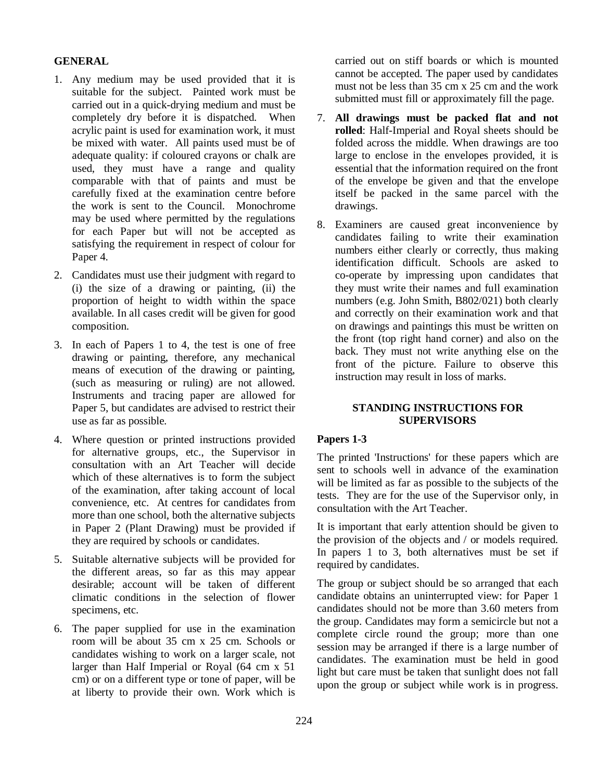### **GENERAL**

- 1. Any medium may be used provided that it is suitable for the subject. Painted work must be carried out in a quick-drying medium and must be completely dry before it is dispatched. When acrylic paint is used for examination work, it must be mixed with water. All paints used must be of adequate quality: if coloured crayons or chalk are used, they must have a range and quality comparable with that of paints and must be carefully fixed at the examination centre before the work is sent to the Council. Monochrome may be used where permitted by the regulations for each Paper but will not be accepted as satisfying the requirement in respect of colour for Paper 4.
- 2. Candidates must use their judgment with regard to (i) the size of a drawing or painting, (ii) the proportion of height to width within the space available. In all cases credit will be given for good composition.
- 3. In each of Papers 1 to 4, the test is one of free drawing or painting, therefore, any mechanical means of execution of the drawing or painting, (such as measuring or ruling) are not allowed. Instruments and tracing paper are allowed for Paper 5, but candidates are advised to restrict their use as far as possible.
- 4. Where question or printed instructions provided for alternative groups, etc., the Supervisor in consultation with an Art Teacher will decide which of these alternatives is to form the subject of the examination, after taking account of local convenience, etc. At centres for candidates from more than one school, both the alternative subjects in Paper 2 (Plant Drawing) must be provided if they are required by schools or candidates.
- 5. Suitable alternative subjects will be provided for the different areas, so far as this may appear desirable; account will be taken of different climatic conditions in the selection of flower specimens, etc.
- 6. The paper supplied for use in the examination room will be about 35 cm x 25 cm. Schools or candidates wishing to work on a larger scale, not larger than Half Imperial or Royal (64 cm x 51 cm) or on a different type or tone of paper, will be at liberty to provide their own. Work which is

carried out on stiff boards or which is mounted cannot be accepted. The paper used by candidates must not be less than 35 cm x 25 cm and the work submitted must fill or approximately fill the page.

- 7. **All drawings must be packed flat and not rolled**: Half-Imperial and Royal sheets should be folded across the middle. When drawings are too large to enclose in the envelopes provided, it is essential that the information required on the front of the envelope be given and that the envelope itself be packed in the same parcel with the drawings.
- 8. Examiners are caused great inconvenience by candidates failing to write their examination numbers either clearly or correctly, thus making identification difficult. Schools are asked to co-operate by impressing upon candidates that they must write their names and full examination numbers (e.g. John Smith, B802/021) both clearly and correctly on their examination work and that on drawings and paintings this must be written on the front (top right hand corner) and also on the back. They must not write anything else on the front of the picture. Failure to observe this instruction may result in loss of marks.

#### **STANDING INSTRUCTIONS FOR SUPERVISORS**

# **Papers 1-3**

The printed 'Instructions' for these papers which are sent to schools well in advance of the examination will be limited as far as possible to the subjects of the tests. They are for the use of the Supervisor only, in consultation with the Art Teacher.

It is important that early attention should be given to the provision of the objects and / or models required. In papers 1 to 3, both alternatives must be set if required by candidates.

The group or subject should be so arranged that each candidate obtains an uninterrupted view: for Paper 1 candidates should not be more than 3.60 meters from the group. Candidates may form a semicircle but not a complete circle round the group; more than one session may be arranged if there is a large number of candidates. The examination must be held in good light but care must be taken that sunlight does not fall upon the group or subject while work is in progress.